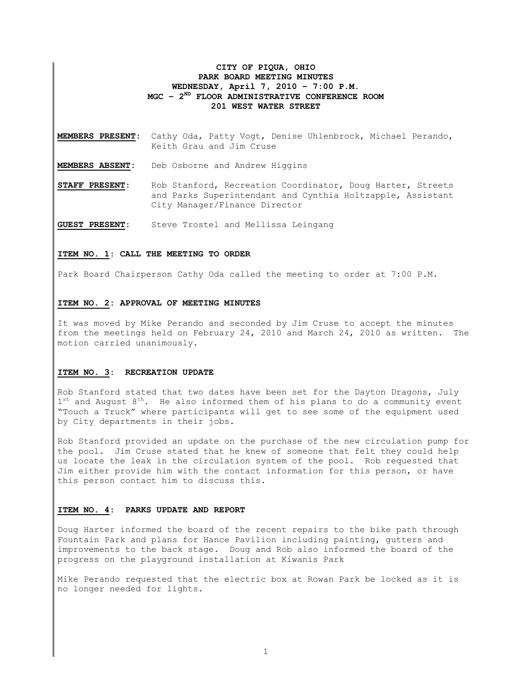# **CITY OF PIQUA, OHIO PARK BOARD MEETING MINUTES WEDNESDAY, April 7, 2010 – 7:00 P.M. MGC – 2ND FLOOR ADMINISTRATIVE CONFERENCE ROOM 201 WEST WATER STREET**

**MEMBERS PRESENT:** Cathy Oda, Patty Vogt, Denise Uhlenbrock, Michael Perando, Keith Grau and Jim Cruse

**MEMBERS ABSENT:** Deb Osborne and Andrew Higgins

**STAFF PRESENT:** Rob Stanford, Recreation Coordinator, Doug Harter, Streets and Parks Superintendant and Cynthia Holtzapple, Assistant City Manager/Finance Director

**GUEST PRESENT:** Steve Trostel and Mellissa Leingang

#### **ITEM NO. 1: CALL THE MEETING TO ORDER**

Park Board Chairperson Cathy Oda called the meeting to order at 7:00 P.M.

#### **ITEM NO. 2: APPROVAL OF MEETING MINUTES**

It was moved by Mike Perando and seconded by Jim Cruse to accept the minutes from the meetings held on February 24, 2010 and March 24, 2010 as written. The motion carried unanimously.

## **ITEM NO. 3: RECREATION UPDATE**

Rob Stanford stated that two dates have been set for the Dayton Dragons, July  $1<sup>st</sup>$  and August  $8<sup>th</sup>$ . He also informed them of his plans to do a community event "Touch a Truck" where participants will get to see some of the equipment used by City departments in their jobs.

Rob Stanford provided an update on the purchase of the new circulation pump for the pool. Jim Cruse stated that he knew of someone that felt they could help us locate the leak in the circulation system of the pool. Rob requested that Jim either provide him with the contact information for this person, or have this person contact him to discuss this.

#### **ITEM NO. 4: PARKS UPDATE AND REPORT**

Doug Harter informed the board of the recent repairs to the bike path through Fountain Park and plans for Hance Pavilion including painting, gutters and improvements to the back stage. Doug and Rob also informed the board of the progress on the playground installation at Kiwanis Park

Mike Perando requested that the electric box at Rowan Park be locked as it is no longer needed for lights.